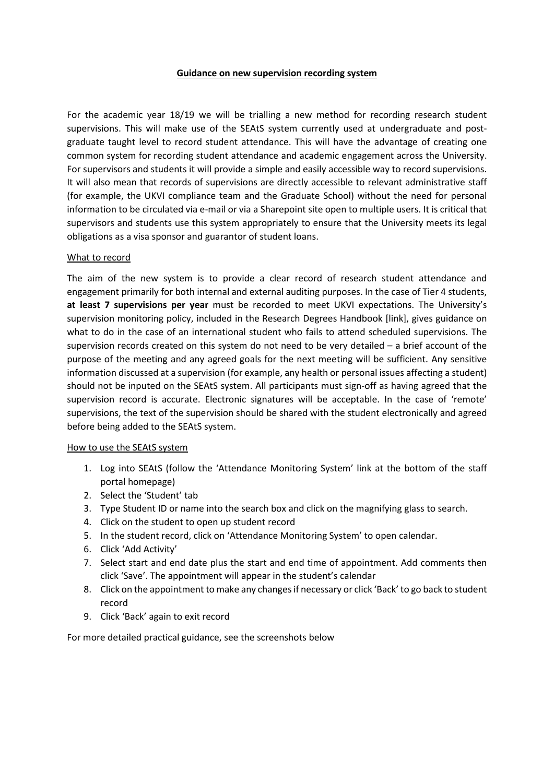### **Guidance on new supervision recording system**

For the academic year 18/19 we will be trialling a new method for recording research student supervisions. This will make use of the SEAtS system currently used at undergraduate and postgraduate taught level to record student attendance. This will have the advantage of creating one common system for recording student attendance and academic engagement across the University. For supervisors and students it will provide a simple and easily accessible way to record supervisions. It will also mean that records of supervisions are directly accessible to relevant administrative staff (for example, the UKVI compliance team and the Graduate School) without the need for personal information to be circulated via e-mail or via a Sharepoint site open to multiple users. It is critical that supervisors and students use this system appropriately to ensure that the University meets its legal obligations as a visa sponsor and guarantor of student loans.

### What to record

The aim of the new system is to provide a clear record of research student attendance and engagement primarily for both internal and external auditing purposes. In the case of Tier 4 students, **at least 7 supervisions per year** must be recorded to meet UKVI expectations. The University's supervision monitoring policy, included in the Research Degrees Handbook [link], gives guidance on what to do in the case of an international student who fails to attend scheduled supervisions. The supervision records created on this system do not need to be very detailed – a brief account of the purpose of the meeting and any agreed goals for the next meeting will be sufficient. Any sensitive information discussed at a supervision (for example, any health or personal issues affecting a student) should not be inputed on the SEAtS system. All participants must sign-off as having agreed that the supervision record is accurate. Electronic signatures will be acceptable. In the case of 'remote' supervisions, the text of the supervision should be shared with the student electronically and agreed before being added to the SEAtS system.

### How to use the SEAtS system

- 1. Log into SEAtS (follow the 'Attendance Monitoring System' link at the bottom of the staff portal homepage)
- 2. Select the 'Student' tab
- 3. Type Student ID or name into the search box and click on the magnifying glass to search.
- 4. Click on the student to open up student record
- 5. In the student record, click on 'Attendance Monitoring System' to open calendar.
- 6. Click 'Add Activity'
- 7. Select start and end date plus the start and end time of appointment. Add comments then click 'Save'. The appointment will appear in the student's calendar
- 8. Click on the appointment to make any changes if necessary or click 'Back' to go back to student record
- 9. Click 'Back' again to exit record

For more detailed practical guidance, see the screenshots below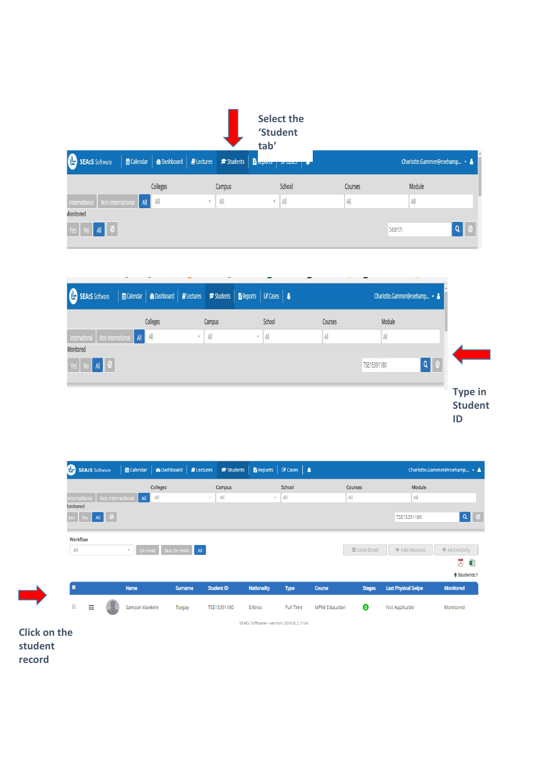|                                                            |          |                                                        | 'Student<br>tab' | <b>Select the</b> |                |                              |   |
|------------------------------------------------------------|----------|--------------------------------------------------------|------------------|-------------------|----------------|------------------------------|---|
| $\mathbf{B}$<br><b> ACalendar</b><br><b>SEAtS</b> Software |          | <b>B</b> Dashboard <b>B</b> Lectures <b>F</b> Students | <b>B</b> kepore  | $\frac{1}{2}$     |                | Charlotte.Gammer@roehamp v & |   |
|                                                            | Colleges | Campus                                                 |                  | School            | Courses        | Module                       |   |
| International<br>Non International                         | All All  | All<br>w                                               | $\tau$           | $\mathsf{All}$    | $\mathsf{All}$ | All                          |   |
| Monitored                                                  |          |                                                        |                  |                   |                |                              |   |
| All<br>0<br>Yes                                            |          |                                                        |                  |                   |                | Search                       | Q |



| $\mathbf{D}$<br><b>SEAtS Software</b> |                 | ■ Calendar   <b>@</b> Dashboard   <b>@</b> Lectures   <b>@</b> Students |                   | Reports                                | <b>C</b> Cases   $\triangle$ |                        |               |                            | Charlotte.Gammer@roehamp $\rightarrow$ & |
|---------------------------------------|-----------------|-------------------------------------------------------------------------|-------------------|----------------------------------------|------------------------------|------------------------|---------------|----------------------------|------------------------------------------|
|                                       | <b>Colleges</b> |                                                                         | Campus            |                                        | School                       |                        | Courses       | Module                     |                                          |
| Non International<br>nternational     | All All         |                                                                         | All<br>v.         | $\mathbf{v}$ .                         | All                          |                        | All           | All                        |                                          |
| <b>Ionitored</b><br>  0<br>All<br>Yes |                 |                                                                         |                   |                                        |                              |                        |               | TSE15391180                | $\alpha$                                 |
| Workflow<br>All                       | $\mathbf{v}$ .  | On Hold Not On Hold All                                                 |                   |                                        |                              |                        | Send Email    | <b>+</b> Add Absence       | <b>+</b> Add Activity                    |
|                                       |                 |                                                                         |                   |                                        |                              |                        |               |                            | 关<br>d                                   |
|                                       |                 |                                                                         |                   |                                        |                              |                        |               |                            | <b><math>↑</math></b> Students:1         |
| п                                     | <b>Name</b>     | <b>Surname</b>                                                          | <b>Student ID</b> | <b>Nationality</b>                     | <b>Type</b>                  | <b>Course</b>          | <b>Stages</b> | <b>Last Physical Swipe</b> | <b>Monitored</b>                         |
| $\Box$<br>Ξ                           | Samson Maekele  | <b>Tsegay</b>                                                           | TSE15391180       | Eritrea                                | <b>Full Time</b>             | <b>MPhil Education</b> | $\bullet$     | Not Applicable             | Monitored                                |
|                                       |                 |                                                                         |                   | SEAtS Software - version 2018.8.2.1164 |                              |                        |               |                            |                                          |

**Click on the student record**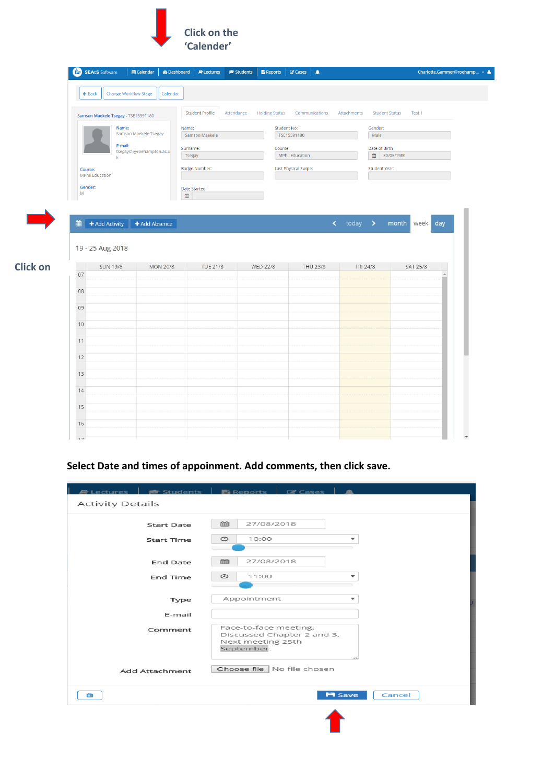

|                                   | <b>SEAtS</b> Software               | til Calendar             | <b>@Dashboard</b><br>$\blacksquare$ Lectures | $\approx$ Students  <br><b>E</b> Reports   C Cases   A |                        |             |                               | Charlotte.Gammer@roehamp ▼ ▲ |
|-----------------------------------|-------------------------------------|--------------------------|----------------------------------------------|--------------------------------------------------------|------------------------|-------------|-------------------------------|------------------------------|
| $\leftarrow$ Back                 | <b>Change Workflow Stage</b>        | Calendar                 |                                              |                                                        |                        |             |                               |                              |
|                                   |                                     |                          |                                              |                                                        |                        |             |                               |                              |
|                                   | Samson Maekele Tsegay - TSE15391180 |                          | <b>Student Profile</b>                       | Attendance<br><b>Holding Status</b>                    | Communications         | Attachments | <b>Student Status</b>         | Test 1                       |
|                                   | Name:                               | Samson Maekele Tsegay    | Name:                                        | Student No:                                            |                        |             | Gender:                       |                              |
|                                   | E-mail:                             |                          | Samson Maekele                               |                                                        | TSE15391180            |             | Male                          |                              |
|                                   |                                     | tsegays1@roehampton.ac.u | Surname:<br><b>Tsegay</b>                    | Course:                                                | <b>MPhil Education</b> |             | Date of Birth<br>■ 30/05/1980 |                              |
|                                   | $\mathbf k$                         |                          | Badge Number:                                |                                                        | Last Physical Swipe:   |             | Student Year:                 |                              |
| Course:<br><b>MPhil Education</b> |                                     |                          |                                              |                                                        |                        |             |                               |                              |
| Gender:                           |                                     |                          | Date Started:                                |                                                        |                        |             |                               |                              |
| M                                 |                                     |                          | ₩                                            |                                                        |                        |             |                               |                              |
|                                   |                                     |                          |                                              |                                                        |                        |             |                               |                              |
| 雦                                 | + Add Activity                      | + Add Absence            |                                              |                                                        |                        |             | < today > month week          | day                          |
|                                   |                                     |                          |                                              |                                                        |                        |             |                               |                              |
|                                   | 19 - 25 Aug 2018                    |                          |                                              |                                                        |                        |             |                               |                              |
|                                   | <b>SUN 19/8</b>                     | <b>MON 20/8</b>          | <b>TUE 21/8</b>                              | <b>WED 22/8</b>                                        | <b>THU 23/8</b>        | FRI 24/8    |                               | <b>SAT 25/8</b>              |
| 07                                |                                     |                          |                                              |                                                        |                        |             |                               |                              |
| 08                                |                                     |                          |                                              |                                                        |                        |             |                               |                              |
| 09                                |                                     |                          |                                              |                                                        |                        |             |                               |                              |
| 10                                |                                     |                          |                                              |                                                        |                        |             |                               |                              |
|                                   |                                     |                          |                                              |                                                        |                        |             |                               |                              |
| 11                                |                                     |                          |                                              |                                                        |                        |             |                               |                              |
| 12                                |                                     |                          |                                              |                                                        |                        |             |                               |                              |
|                                   |                                     |                          |                                              |                                                        |                        |             |                               |                              |
| 13                                |                                     |                          |                                              |                                                        |                        |             |                               |                              |
| 14                                |                                     |                          |                                              |                                                        |                        |             |                               |                              |
|                                   |                                     |                          |                                              |                                                        |                        |             |                               |                              |
| 15                                |                                     |                          |                                              |                                                        |                        |             |                               |                              |
| 16                                |                                     |                          |                                              |                                                        |                        |             |                               |                              |

# **Select Date and times of appoinment. Add comments, then click save.**

| $\blacksquare$ Lectures $\blacksquare$ | <del>■</del> Students   ■ Reports   ■ Cases                                            |
|----------------------------------------|----------------------------------------------------------------------------------------|
| <b>Activity Details</b>                |                                                                                        |
| <b>Start Date</b>                      | 曲<br>27/08/2018                                                                        |
| <b>Start Time</b>                      | $\odot$<br>10:00<br>÷                                                                  |
| <b>End Date</b>                        | m<br>27/08/2018                                                                        |
| End Time                               | $\odot$<br>11:00<br>÷                                                                  |
| Type                                   | Appointment<br>÷                                                                       |
| E-mail                                 |                                                                                        |
| Comment                                | Face-to-face meeting.<br>Discussed Chapter 2 and 3.<br>Next meeting 25th<br>September. |
| <b>Add Attachment</b>                  | Choose file   No file chosen                                                           |
| û                                      | <b>H</b> Save<br>Cancel                                                                |
|                                        |                                                                                        |